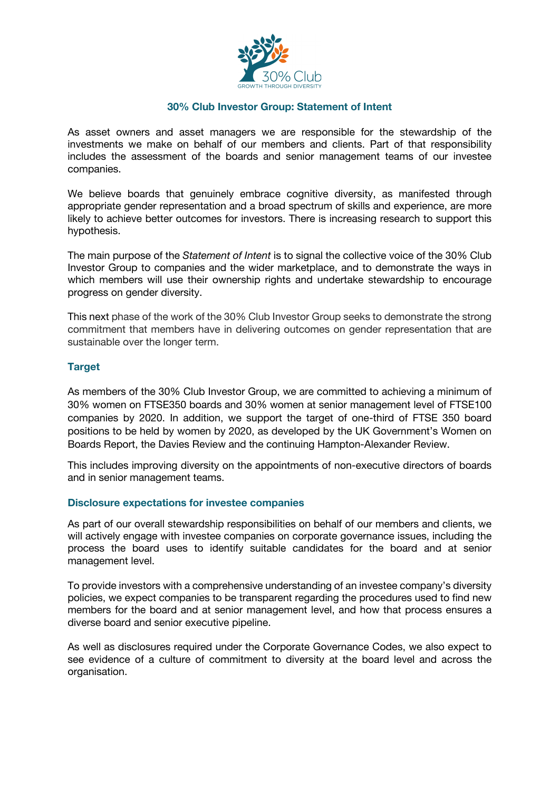

#### **30% Club Investor Group: Statement of Intent**

As asset owners and asset managers we are responsible for the stewardship of the investments we make on behalf of our members and clients. Part of that responsibility includes the assessment of the boards and senior management teams of our investee companies.

We believe boards that genuinely embrace cognitive diversity, as manifested through appropriate gender representation and a broad spectrum of skills and experience, are more likely to achieve better outcomes for investors. There is increasing research to support this hypothesis.

The main purpose of the *Statement of Intent* is to signal the collective voice of the 30% Club Investor Group to companies and the wider marketplace, and to demonstrate the ways in which members will use their ownership rights and undertake stewardship to encourage progress on gender diversity.

This next phase of the work of the 30% Club Investor Group seeks to demonstrate the strong commitment that members have in delivering outcomes on gender representation that are sustainable over the longer term.

#### **Target**

As members of the 30% Club Investor Group, we are committed to achieving a minimum of 30% women on FTSE350 boards and 30% women at senior management level of FTSE100 companies by 2020. In addition, we support the target of one-third of FTSE 350 board positions to be held by women by 2020, as developed by the UK Government's Women on Boards Report, the Davies Review and the continuing Hampton-Alexander Review.

This includes improving diversity on the appointments of non-executive directors of boards and in senior management teams.

#### **Disclosure expectations for investee companies**

As part of our overall stewardship responsibilities on behalf of our members and clients, we will actively engage with investee companies on corporate governance issues, including the process the board uses to identify suitable candidates for the board and at senior management level.

To provide investors with a comprehensive understanding of an investee company's diversity policies, we expect companies to be transparent regarding the procedures used to find new members for the board and at senior management level, and how that process ensures a diverse board and senior executive pipeline.

As well as disclosures required under the Corporate Governance Codes, we also expect to see evidence of a culture of commitment to diversity at the board level and across the organisation.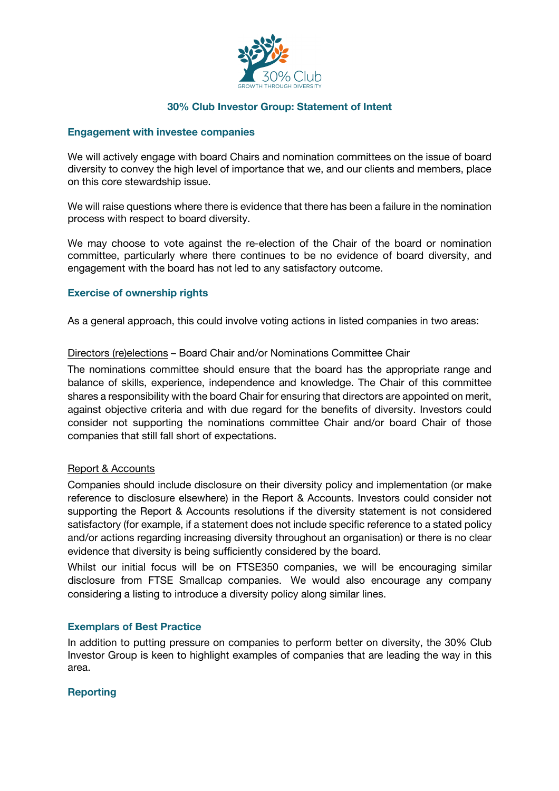

## **30% Club Investor Group: Statement of Intent**

#### **Engagement with investee companies**

We will actively engage with board Chairs and nomination committees on the issue of board diversity to convey the high level of importance that we, and our clients and members, place on this core stewardship issue.

We will raise questions where there is evidence that there has been a failure in the nomination process with respect to board diversity.

We may choose to vote against the re-election of the Chair of the board or nomination committee, particularly where there continues to be no evidence of board diversity, and engagement with the board has not led to any satisfactory outcome.

### **Exercise of ownership rights**

As a general approach, this could involve voting actions in listed companies in two areas:

### Directors (re)elections – Board Chair and/or Nominations Committee Chair

The nominations committee should ensure that the board has the appropriate range and balance of skills, experience, independence and knowledge. The Chair of this committee shares a responsibility with the board Chair for ensuring that directors are appointed on merit, against objective criteria and with due regard for the benefits of diversity. Investors could consider not supporting the nominations committee Chair and/or board Chair of those companies that still fall short of expectations.

### Report & Accounts

Companies should include disclosure on their diversity policy and implementation (or make reference to disclosure elsewhere) in the Report & Accounts. Investors could consider not supporting the Report & Accounts resolutions if the diversity statement is not considered satisfactory (for example, if a statement does not include specific reference to a stated policy and/or actions regarding increasing diversity throughout an organisation) or there is no clear evidence that diversity is being sufficiently considered by the board.

Whilst our initial focus will be on FTSE350 companies, we will be encouraging similar disclosure from FTSE Smallcap companies. We would also encourage any company considering a listing to introduce a diversity policy along similar lines.

### **Exemplars of Best Practice**

In addition to putting pressure on companies to perform better on diversity, the 30% Club Investor Group is keen to highlight examples of companies that are leading the way in this area.

### **Reporting**